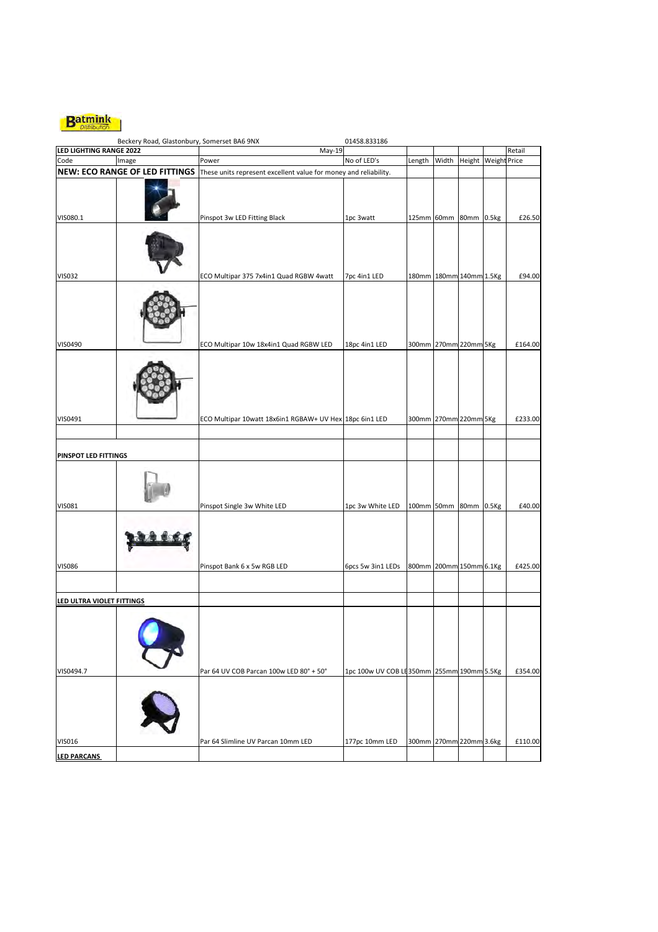

|                                | Beckery Road, Glastonbury, Somerset BA6 9NX |                                                                                                 | 01458.833186                              |                         |       |                     |         |
|--------------------------------|---------------------------------------------|-------------------------------------------------------------------------------------------------|-------------------------------------------|-------------------------|-------|---------------------|---------|
| <b>LED LIGHTING RANGE 2022</b> |                                             | $May-19$                                                                                        |                                           |                         |       |                     | Retail  |
| Code                           | Image                                       | Power                                                                                           | No of LED's                               | Length                  | Width | Height Weight Price |         |
|                                |                                             | NEW: ECO RANGE OF LED FITTINGS These units represent excellent value for money and reliability. |                                           |                         |       |                     |         |
|                                |                                             |                                                                                                 |                                           |                         |       |                     |         |
| VIS080.1                       |                                             | Pinspot 3w LED Fitting Black                                                                    | 1pc 3watt                                 | 125mm 60mm 80mm 0.5kg   |       |                     | £26.50  |
| <b>VIS032</b>                  |                                             | ECO Multipar 375 7x4in1 Quad RGBW 4watt                                                         | 7pc 4in1 LED                              | 180mm 180mm 140mm 1.5Kg |       |                     | £94.00  |
|                                |                                             |                                                                                                 |                                           |                         |       |                     |         |
| VIS0490                        |                                             | ECO Multipar 10w 18x4in1 Quad RGBW LED                                                          | 18pc 4in1 LED                             | 300mm 270mm 220mm 5Kg   |       |                     | £164.00 |
|                                |                                             |                                                                                                 |                                           |                         |       |                     |         |
| VIS0491                        |                                             | ECO Multipar 10watt 18x6in1 RGBAW+ UV Hex 18pc 6in1 LED                                         |                                           | 300mm 270mm 220mm 5Kg   |       |                     | £233.00 |
|                                |                                             |                                                                                                 |                                           |                         |       |                     |         |
| PINSPOT LED FITTINGS           |                                             |                                                                                                 |                                           |                         |       |                     |         |
| <b>VIS081</b>                  |                                             | Pinspot Single 3w White LED                                                                     | 1pc 3w White LED                          | 100mm 50mm 80mm 0.5Kg   |       |                     | £40.00  |
| <b>VIS086</b>                  |                                             | Pinspot Bank 6 x 5w RGB LED                                                                     | 6pcs 5w 3in1 LEDs                         | 800mm 200mm 150mm 6.1Kg |       |                     | £425.00 |
| LED ULTRA VIOLET FITTINGS      |                                             |                                                                                                 |                                           |                         |       |                     |         |
|                                |                                             |                                                                                                 |                                           |                         |       |                     |         |
| VIS0494.7                      |                                             | Par 64 UV COB Parcan 100w LED 80° + 50°                                                         | 1pc 100w UV COB LE350mm 255mm 190mm 5.5Kg |                         |       |                     | £354.00 |
|                                |                                             |                                                                                                 |                                           |                         |       |                     |         |
| <b>VIS016</b>                  |                                             | Par 64 Slimline UV Parcan 10mm LED                                                              | 177pc 10mm LED                            | 300mm 270mm 220mm 3.6kg |       |                     | £110.00 |
| <b>LED PARCANS</b>             |                                             |                                                                                                 |                                           |                         |       |                     |         |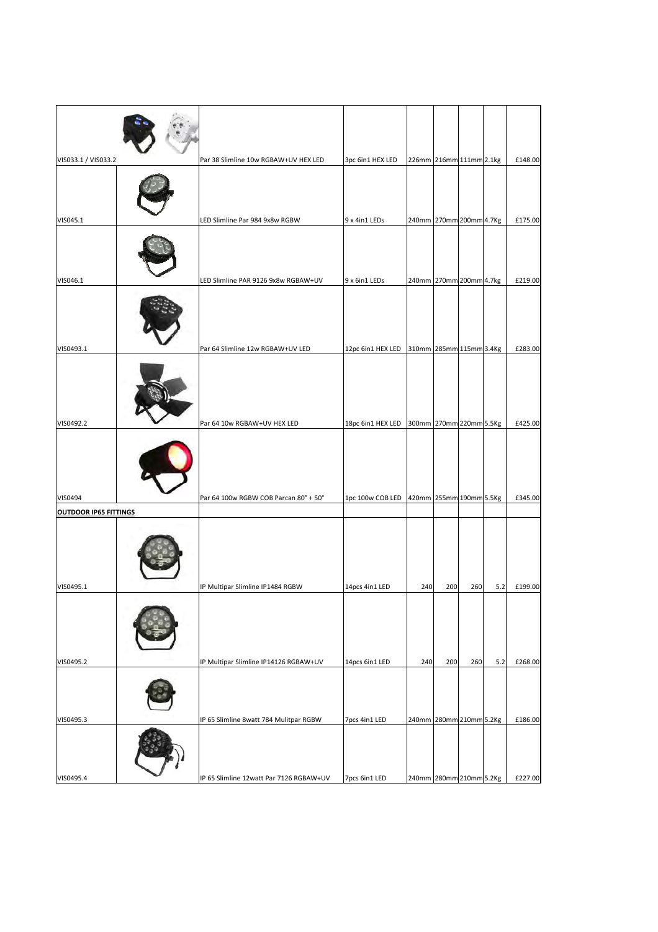| VIS033.1 / VIS033.2   | Par 38 Slimline 10w RGBAW+UV HEX LED    | 3pc 6in1 HEX LED                          | 226mm 216mm 111mm 2.1kg |     |     |     | £148.00 |
|-----------------------|-----------------------------------------|-------------------------------------------|-------------------------|-----|-----|-----|---------|
|                       |                                         |                                           |                         |     |     |     |         |
| VIS045.1              | LED Slimline Par 984 9x8w RGBW          | 9 x 4in1 LEDs                             | 240mm 270mm 200mm 4.7Kg |     |     |     | £175.00 |
|                       |                                         |                                           |                         |     |     |     |         |
| VIS046.1              | LED Slimline PAR 9126 9x8w RGBAW+UV     | 9 x 6in1 LEDs                             | 240mm 270mm 200mm 4.7kg |     |     |     | £219.00 |
|                       |                                         |                                           |                         |     |     |     |         |
| VIS0493.1             | Par 64 Slimline 12w RGBAW+UV LED        | 12pc 6in1 HEX LED 310mm 285mm 115mm 3.4Kg |                         |     |     |     | £283.00 |
|                       |                                         |                                           |                         |     |     |     |         |
| VIS0492.2             | Par 64 10w RGBAW+UV HEX LED             | 18pc 6in1 HEX LED                         | 300mm 270mm 220mm 5.5Kg |     |     |     | £425.00 |
|                       |                                         |                                           |                         |     |     |     |         |
| VIS0494               | Par 64 100w RGBW COB Parcan 80° + 50°   | 1pc 100w COB LED 420mm 255mm 190mm 5.5Kg  |                         |     |     |     | £345.00 |
| OUTDOOR IP65 FITTINGS |                                         |                                           |                         |     |     |     |         |
| VIS0495.1             | IP Multipar Slimline IP1484 RGBW        | 14pcs 4in1 LED                            | 240                     | 200 | 260 | 5.2 | £199.00 |
|                       |                                         |                                           |                         |     |     |     |         |
| VIS0495.2             | IP Multipar Slimline IP14126 RGBAW+UV   | 14pcs 6in1 LED                            | 240                     | 200 | 260 | 5.2 | £268.00 |
|                       |                                         |                                           |                         |     |     |     |         |
| VIS0495.3             | IP 65 Slimline 8watt 784 Mulitpar RGBW  | 7pcs 4in1 LED                             | 240mm 280mm 210mm 5.2Kg |     |     |     | £186.00 |
|                       |                                         |                                           |                         |     |     |     |         |
| VIS0495.4             | IP 65 Slimline 12watt Par 7126 RGBAW+UV | 7pcs 6in1 LED                             | 240mm 280mm 210mm 5.2Kg |     |     |     | £227.00 |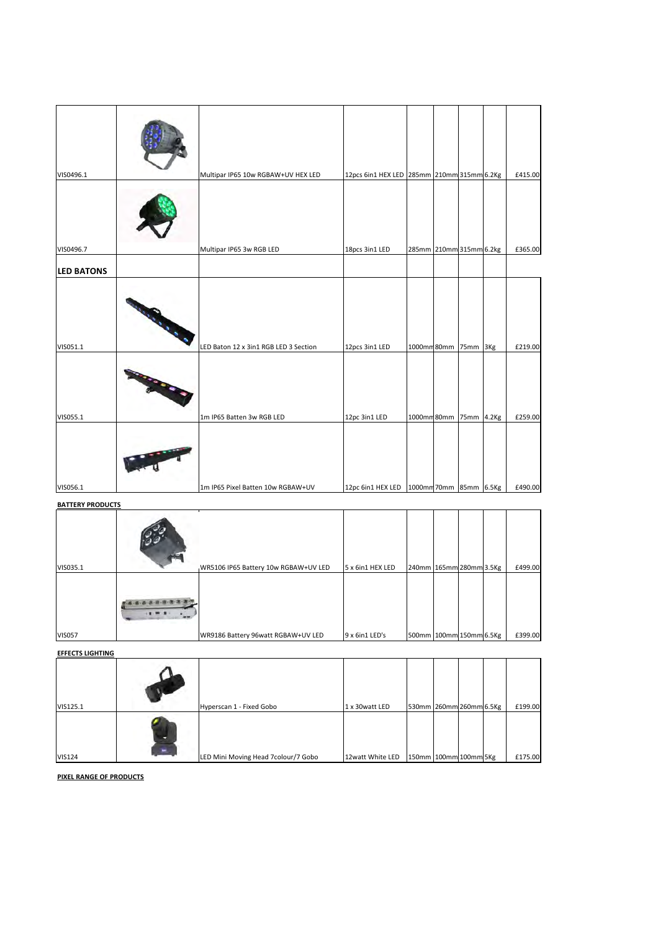| VIS0496.1         | Multipar IP65 10w RGBAW+UV HEX LED    | 12pcs 6in1 HEX LED 285mm 210mm 315mm 6.2Kg |                         |  |     | £415.00 |
|-------------------|---------------------------------------|--------------------------------------------|-------------------------|--|-----|---------|
|                   |                                       |                                            |                         |  |     |         |
| VIS0496.7         | Multipar IP65 3w RGB LED              | 18pcs 3in1 LED                             | 285mm 210mm 315mm 6.2kg |  |     | £365.00 |
| <b>LED BATONS</b> |                                       |                                            |                         |  |     |         |
|                   |                                       |                                            |                         |  |     |         |
| VIS051.1          | LED Baton 12 x 3in1 RGB LED 3 Section | 12pcs 3in1 LED                             | 1000mm80mm 75mm         |  | 3Kg | £219.00 |
| VIS055.1          | 1m IP65 Batten 3w RGB LED             | 12pc 3in1 LED                              | 1000mm80mm 75mm 4.2Kg   |  |     | £259.00 |
| VIS056.1          | 1m IP65 Pixel Batten 10w RGBAW+UV     | 12pc 6in1 HEX LED                          | 1000mm 70mm 85mm 6.5Kg  |  |     | £490.00 |

## **BATTERY PRODUCTS**

| VIS035.1      | WR5106 IP65 Battery 10w RGBAW+UV LED | 5 x 6in1 HEX LED | 240mm 165mm 280mm 3.5Kg |  | £499.00 |
|---------------|--------------------------------------|------------------|-------------------------|--|---------|
|               |                                      |                  |                         |  |         |
| <b>VIS057</b> | WR9186 Battery 96watt RGBAW+UV LED   | 9 x 6in1 LED's   | 500mm 100mm 150mm 6.5Kg |  | £399.00 |

## EFFECTS LIGHTING

| VIS125.1      |                          | Hyperscan 1 - Fixed Gobo            | 1 x 30 watt LED  | 530mm 260mm 260mm 6.5Kg |  | £199.00 |
|---------------|--------------------------|-------------------------------------|------------------|-------------------------|--|---------|
| <b>VIS124</b> | $\overline{\phantom{0}}$ | LED Mini Moving Head 7colour/7 Gobo | 12watt White LED | 150mm 100mm 100mm 5Kg   |  | £175.00 |

PIXEL RANGE OF PRODUCTS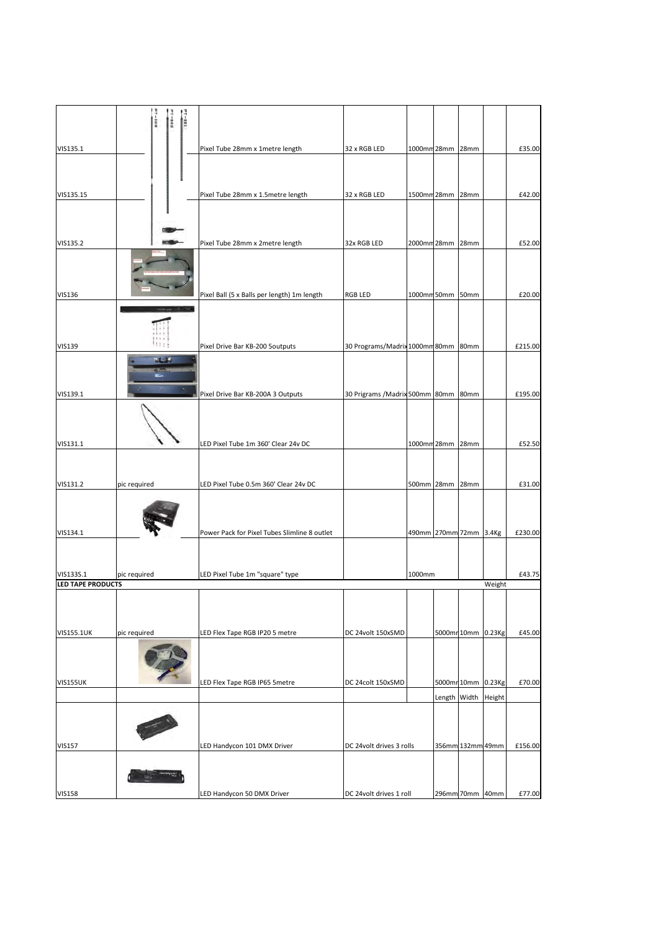|                                | <b>PT-181</b><br><b>97-168</b> |                                              |                                      |                        |                     |        |         |
|--------------------------------|--------------------------------|----------------------------------------------|--------------------------------------|------------------------|---------------------|--------|---------|
| VIS135.1                       |                                | Pixel Tube 28mm x 1metre length              | 32 x RGB LED                         | 1000mm 28mm 28mm       |                     |        | £35.00  |
|                                |                                |                                              |                                      |                        |                     |        |         |
| VIS135.15                      |                                | Pixel Tube 28mm x 1.5metre length            | 32 x RGB LED                         | 1500mm 28mm 28mm       |                     |        | £42.00  |
|                                |                                |                                              |                                      |                        |                     |        |         |
| VIS135.2                       |                                | Pixel Tube 28mm x 2metre length              | 32x RGB LED                          | 2000mm 28mm 28mm       |                     |        | £52.00  |
|                                |                                |                                              |                                      |                        |                     |        |         |
| <b>VIS136</b>                  |                                | Pixel Ball (5 x Balls per length) 1m length  | RGB LED                              | 1000mm 50mm 50mm       |                     |        | £20.00  |
|                                |                                |                                              |                                      |                        |                     |        |         |
| <b>VIS139</b>                  | 77.5                           | Pixel Drive Bar KB-200 5outputs              | 30 Programs/Madrix 1000mm 80mm 80mm  |                        |                     |        | £215.00 |
|                                | <b>MELL</b><br>$\Xi$           |                                              |                                      |                        |                     |        |         |
| VIS139.1                       |                                | Pixel Drive Bar KB-200A 3 Outputs            | 30 Prigrams / Madrix 500mm 80mm 80mm |                        |                     |        | £195.00 |
|                                |                                |                                              |                                      |                        |                     |        |         |
| VIS131.1                       |                                | LED Pixel Tube 1m 360' Clear 24v DC          |                                      | 1000mm 28mm 28mm       |                     |        | £52.50  |
|                                |                                |                                              |                                      |                        |                     |        |         |
| VIS131.2                       | pic required                   | LED Pixel Tube 0.5m 360' Clear 24v DC        |                                      | 500mm 28mm 28mm        |                     |        | £31.00  |
|                                |                                |                                              |                                      |                        |                     |        |         |
| VIS134.1                       |                                | Power Pack for Pixel Tubes Slimline 8 outlet |                                      | 490mm 270mm 72mm 3.4Kg |                     |        | £230.00 |
|                                |                                |                                              |                                      |                        |                     |        |         |
| VIS133S.1<br>LED TAPE PRODUCTS | pic required                   | LED Pixel Tube 1m "square" type              |                                      | 1000mm                 |                     | Weight | £43.75  |
|                                |                                |                                              |                                      |                        |                     |        |         |
| <b>VIS155.1UK</b>              | pic required                   | LED Flex Tape RGB IP20 5 metre               | DC 24volt 150xSMD                    |                        | 5000mr10mm 0.23Kg   |        | £45.00  |
|                                |                                |                                              |                                      |                        |                     |        |         |
| <b>VIS155UK</b>                |                                | LED Flex Tape RGB IP65 5metre                | DC 24colt 150xSMD                    |                        | 5000mr 10mm 0.23Kg  |        | £70.00  |
|                                |                                |                                              |                                      |                        | Length Width Height |        |         |
|                                |                                |                                              |                                      |                        |                     |        |         |
| <b>VIS157</b>                  |                                | LED Handycon 101 DMX Driver                  | DC 24volt drives 3 rolls             |                        | 356mm 132mm 49mm    |        | £156.00 |
|                                |                                |                                              |                                      |                        |                     |        |         |
| <b>VIS158</b>                  |                                | LED Handycon 50 DMX Driver                   | DC 24volt drives 1 roll              |                        | 296mm 70mm 40mm     |        | £77.00  |